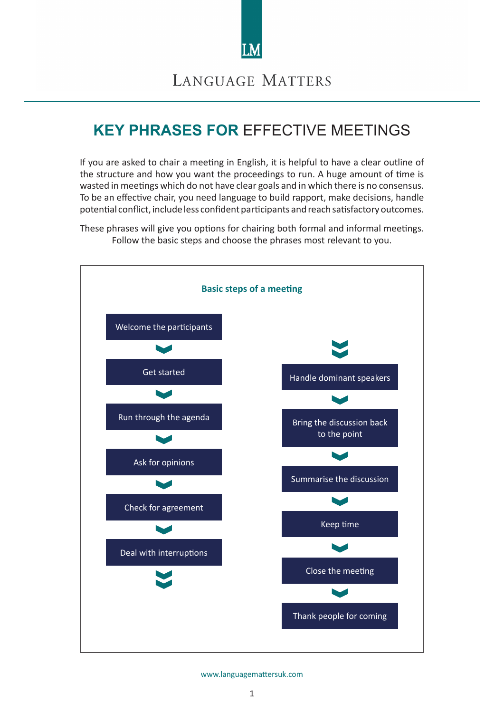

# **KEY PHRASES FOR** EFFECTIVE MEETINGS

If you are asked to chair a meeting in English, it is helpful to have a clear outline of the structure and how you want the proceedings to run. A huge amount of time is wasted in meetings which do not have clear goals and in which there is no consensus. To be an effective chair, you need language to build rapport, make decisions, handle potential conflict, include less confident participants and reach satisfactory outcomes.

These phrases will give you options for chairing both formal and informal meetings. Follow the basic steps and choose the phrases most relevant to you.

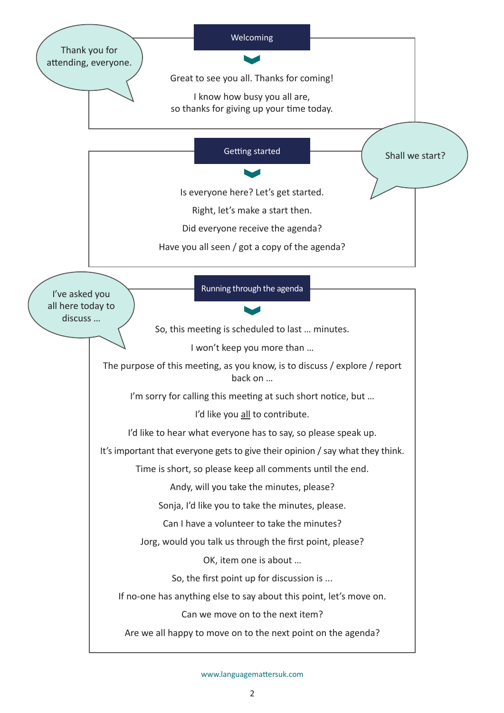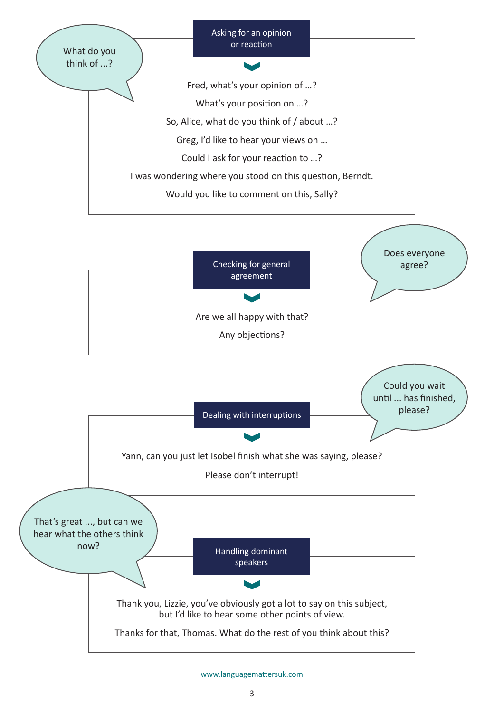



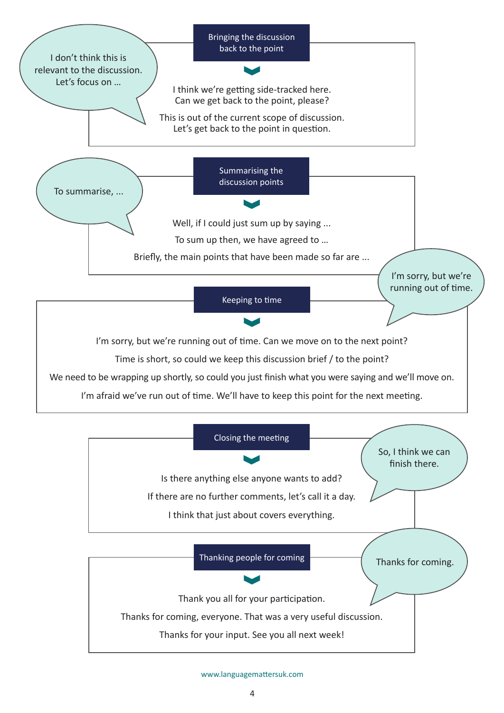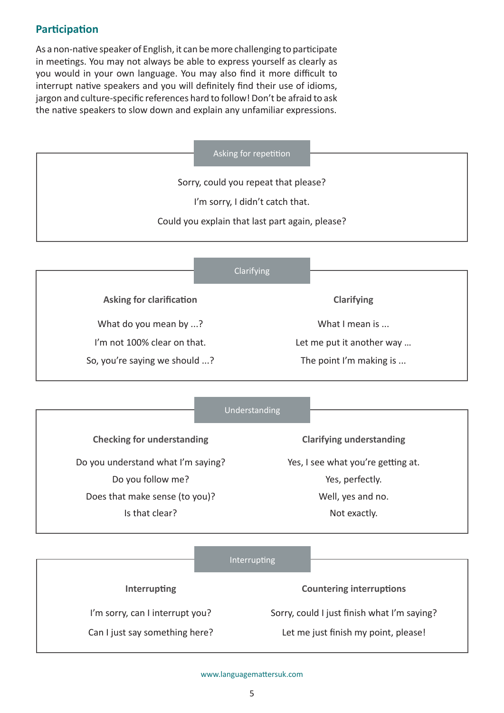# **Participation**

As a non-native speaker of English, it can be more challenging to participate in meetings. You may not always be able to express yourself as clearly as you would in your own language. You may also find it more difficult to interrupt native speakers and you will definitely find their use of idioms, jargon and culture-specific references hard to follow! Don't be afraid to ask the native speakers to slow down and explain any unfamiliar expressions.

Asking for repetition

Sorry, could you repeat that please?

I'm sorry, I didn't catch that.

Could you explain that last part again, please?

|                                 | Clarifying |                           |
|---------------------------------|------------|---------------------------|
| <b>Asking for clarification</b> |            | <b>Clarifying</b>         |
| What do you mean by ?           |            | What I mean is            |
| I'm not 100% clear on that.     |            | Let me put it another way |
| So, you're saying we should ?   |            | The point I'm making is   |

|                                    | Understanding |                                    |
|------------------------------------|---------------|------------------------------------|
|                                    |               |                                    |
| <b>Checking for understanding</b>  |               | <b>Clarifying understanding</b>    |
| Do you understand what I'm saying? |               | Yes, I see what you're getting at. |
| Do you follow me?                  |               | Yes, perfectly.                    |
| Does that make sense (to you)?     |               | Well, yes and no.                  |
| Is that clear?                     |               | Not exactly.                       |
|                                    |               |                                    |

|                                 | Interrupting                                |
|---------------------------------|---------------------------------------------|
| <b>Interrupting</b>             | <b>Countering interruptions</b>             |
| I'm sorry, can I interrupt you? | Sorry, could I just finish what I'm saying? |
| Can I just say something here?  | Let me just finish my point, please!        |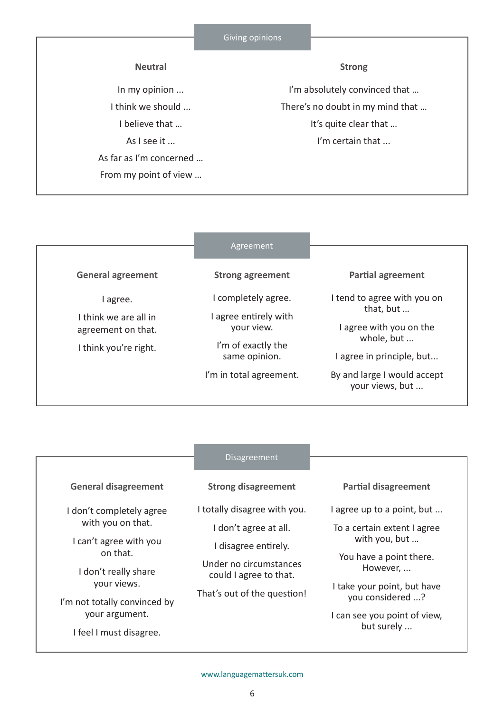### **Neutral**

In my opinion ... I think we should ... I believe that … As I see it ... As far as I'm concerned … From my point of view …

#### **Strong**

I'm absolutely convinced that … There's no doubt in my mind that … It's quite clear that … I'm certain that ...

## Agreement

**General agreement**

I agree.

I think we are all in agreement on that.

I think you're right.

**Strong agreement**

I completely agree.

I agree entirely with your view.

I'm of exactly the same opinion.

I'm in total agreement.

**Partial agreement**

I tend to agree with you on that, but …

I agree with you on the whole, but ...

I agree in principle, but...

By and large I would accept your views, but ...

#### Disagreement

**General disagreement**

I don't completely agree with you on that.

I can't agree with you on that.

I don't really share your views.

I'm not totally convinced by your argument.

I feel I must disagree.

## **Strong disagreement**

I totally disagree with you.

I don't agree at all.

I disagree entirely.

Under no circumstances could I agree to that.

That's out of the question!

**Partial disagreement**

I agree up to a point, but ...

To a certain extent I agree with you, but …

You have a point there. However, ...

I take your point, but have you considered ...?

I can see you point of view, but surely ...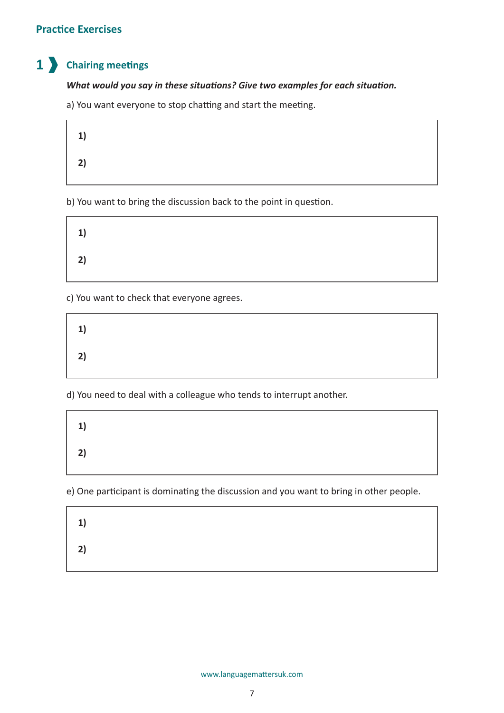# **Practice Exercises**

#### **Chairing meetings 1**

## *What would you say in these situations? Give two examples for each situation.*

a) You want everyone to stop chatting and start the meeting.

| 1) |  |  |  |
|----|--|--|--|
| 2) |  |  |  |

b) You want to bring the discussion back to the point in question.

| 1) |  |  |  |
|----|--|--|--|
| 2) |  |  |  |

c) You want to check that everyone agrees.

| 1) |  |  |  |
|----|--|--|--|
| 2) |  |  |  |

d) You need to deal with a colleague who tends to interrupt another.

| 1) |  |  |  |
|----|--|--|--|
| 2) |  |  |  |

e) One participant is dominating the discussion and you want to bring in other people.

| 1) |  |  |  |
|----|--|--|--|
| 2) |  |  |  |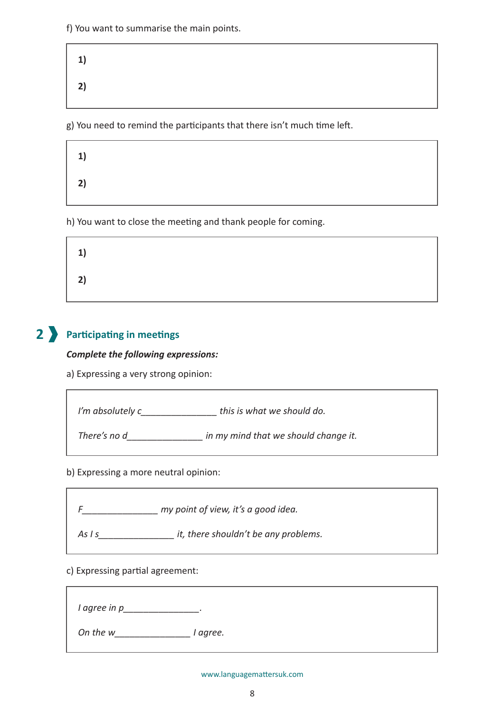f) You want to summarise the main points.

| 1) |  |  |  |
|----|--|--|--|
| 2) |  |  |  |

g) You need to remind the participants that there isn't much time left.

| 1) |  |  |
|----|--|--|
| 2) |  |  |

h) You want to close the meeting and thank people for coming.

| 1) |  |  |  |
|----|--|--|--|
| 2) |  |  |  |

# **Participating in meetings 2**

### *Complete the following expressions:*

a) Expressing a very strong opinion:

*I'm absolutely c\_\_\_\_\_\_\_\_\_\_\_\_\_\_\_ this is what we should do.*

*There's no d\_\_\_\_\_\_\_\_\_\_\_\_\_\_\_ in my mind that we should change it.*

b) Expressing a more neutral opinion:

*F\_\_\_\_\_\_\_\_\_\_\_\_\_\_\_ my point of view, it's a good idea.*

*As I s\_\_\_\_\_\_\_\_\_\_\_\_\_\_\_ it, there shouldn't be any problems.*

c) Expressing partial agreement:

*I agree in p\_\_\_\_\_\_\_\_\_\_\_\_\_\_\_.*

*On the w\_\_\_\_\_\_\_\_\_\_\_\_\_\_\_ I agree.*